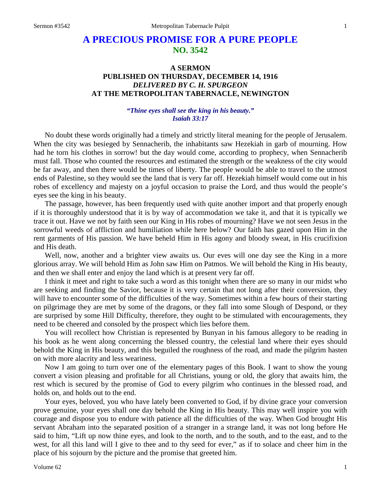# **A PRECIOUS PROMISE FOR A PURE PEOPLE NO. 3542**

## **A SERMON PUBLISHED ON THURSDAY, DECEMBER 14, 1916** *DELIVERED BY C. H. SPURGEON* **AT THE METROPOLITAN TABERNACLE, NEWINGTON**

### *"Thine eyes shall see the king in his beauty." Isaiah 33:17*

No doubt these words originally had a timely and strictly literal meaning for the people of Jerusalem. When the city was besieged by Sennacherib, the inhabitants saw Hezekiah in garb of mourning. How had he torn his clothes in sorrow! but the day would come, according to prophecy, when Sennacherib must fall. Those who counted the resources and estimated the strength or the weakness of the city would be far away, and then there would be times of liberty. The people would be able to travel to the utmost ends of Palestine, so they would see the land that is very far off. Hezekiah himself would come out in his robes of excellency and majesty on a joyful occasion to praise the Lord, and thus would the people's eyes see the king in his beauty.

The passage, however, has been frequently used with quite another import and that properly enough if it is thoroughly understood that it is by way of accommodation we take it, and that it is typically we trace it out. Have we not by faith seen our King in His robes of mourning? Have we not seen Jesus in the sorrowful weeds of affliction and humiliation while here below? Our faith has gazed upon Him in the rent garments of His passion. We have beheld Him in His agony and bloody sweat, in His crucifixion and His death.

Well, now, another and a brighter view awaits us. Our eves will one day see the King in a more glorious array. We will behold Him as John saw Him on Patmos. We will behold the King in His beauty, and then we shall enter and enjoy the land which is at present very far off.

I think it meet and right to take such a word as this tonight when there are so many in our midst who are seeking and finding the Savior, because it is very certain that not long after their conversion, they will have to encounter some of the difficulties of the way. Sometimes within a few hours of their starting on pilgrimage they are met by some of the dragons, or they fall into some Slough of Despond, or they are surprised by some Hill Difficulty, therefore, they ought to be stimulated with encouragements, they need to be cheered and consoled by the prospect which lies before them.

You will recollect how Christian is represented by Bunyan in his famous allegory to be reading in his book as he went along concerning the blessed country, the celestial land where their eyes should behold the King in His beauty, and this beguiled the roughness of the road, and made the pilgrim hasten on with more alacrity and less weariness.

Now I am going to turn over one of the elementary pages of this Book. I want to show the young convert a vision pleasing and profitable for all Christians, young or old, the glory that awaits him, the rest which is secured by the promise of God to every pilgrim who continues in the blessed road, and holds on, and holds out to the end.

Your eyes, beloved, you who have lately been converted to God, if by divine grace your conversion prove genuine, your eyes shall one day behold the King in His beauty. This may well inspire you with courage and dispose you to endure with patience all the difficulties of the way. When God brought His servant Abraham into the separated position of a stranger in a strange land, it was not long before He said to him, "Lift up now thine eyes, and look to the north, and to the south, and to the east, and to the west, for all this land will I give to thee and to thy seed for ever," as if to solace and cheer him in the place of his sojourn by the picture and the promise that greeted him.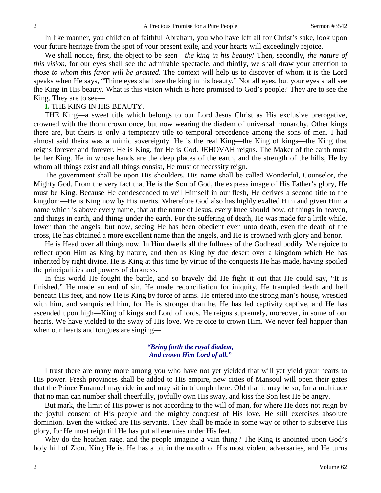In like manner, you children of faithful Abraham, you who have left all for Christ's sake, look upon your future heritage from the spot of your present exile, and your hearts will exceedingly rejoice.

We shall notice, first, the object to be seen—*the king in his beauty!* Then, secondly, *the nature of this vision,* for our eyes shall see the admirable spectacle, and thirdly, we shall draw your attention to *those to whom this favor will be granted*. The context will help us to discover of whom it is the Lord speaks when He says, "Thine eyes shall see the king in his beauty." Not all eyes, but your eyes shall see the King in His beauty. What is this vision which is here promised to God's people? They are to see the King. They are to see—

#### **I.** THE KING IN HIS BEAUTY.

THE King—a sweet title which belongs to our Lord Jesus Christ as His exclusive prerogative, crowned with the thorn crown once, but now wearing the diadem of universal monarchy. Other kings there are, but theirs is only a temporary title to temporal precedence among the sons of men. I had almost said theirs was a mimic sovereignty. He is the real King—the King of kings—the King that reigns forever and forever. He is King, for He is God. JEHOVAH reigns. The Maker of the earth must be her King. He in whose hands are the deep places of the earth, and the strength of the hills, He by whom all things exist and all things consist, He must of necessity reign.

The government shall be upon His shoulders. His name shall be called Wonderful, Counselor, the Mighty God. From the very fact that He is the Son of God, the express image of His Father's glory, He must be King. Because He condescended to veil Himself in our flesh, He derives a second title to the kingdom—He is King now by His merits. Wherefore God also has highly exalted Him and given Him a name which is above every name, that at the name of Jesus, every knee should bow, of things in heaven, and things in earth, and things under the earth. For the suffering of death, He was made for a little while, lower than the angels, but now, seeing He has been obedient even unto death, even the death of the cross, He has obtained a more excellent name than the angels, and He is crowned with glory and honor.

He is Head over all things now. In Him dwells all the fullness of the Godhead bodily. We rejoice to reflect upon Him as King by nature, and then as King by due desert over a kingdom which He has inherited by right divine. He is King at this time by virtue of the conquests He has made, having spoiled the principalities and powers of darkness.

In this world He fought the battle, and so bravely did He fight it out that He could say, "It is finished." He made an end of sin, He made reconciliation for iniquity, He trampled death and hell beneath His feet, and now He is King by force of arms. He entered into the strong man's house, wrestled with him, and vanquished him, for He is stronger than he, He has led captivity captive, and He has ascended upon high—King of kings and Lord of lords. He reigns supremely, moreover, in some of our hearts. We have yielded to the sway of His love. We rejoice to crown Him. We never feel happier than when our hearts and tongues are singing—

#### *"Bring forth the royal diadem, And crown Him Lord of all."*

I trust there are many more among you who have not yet yielded that will yet yield your hearts to His power. Fresh provinces shall be added to His empire, new cities of Mansoul will open their gates that the Prince Emanuel may ride in and may sit in triumph there. Oh! that it may be so, for a multitude that no man can number shall cheerfully, joyfully own His sway, and kiss the Son lest He be angry.

But mark, the limit of His power is not according to the will of man, for where He does not reign by the joyful consent of His people and the mighty conquest of His love, He still exercises absolute dominion. Even the wicked are His servants. They shall be made in some way or other to subserve His glory, for He must reign till He has put all enemies under His feet.

Why do the heathen rage, and the people imagine a vain thing? The King is anointed upon God's holy hill of Zion. King He is. He has a bit in the mouth of His most violent adversaries, and He turns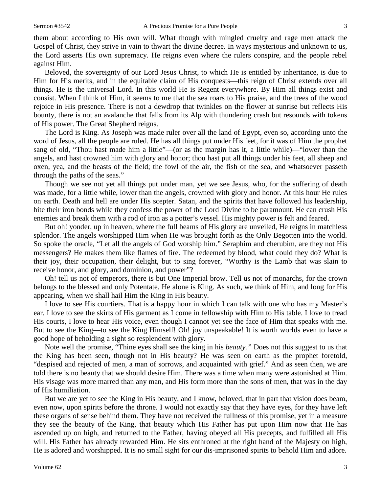them about according to His own will. What though with mingled cruelty and rage men attack the Gospel of Christ, they strive in vain to thwart the divine decree. In ways mysterious and unknown to us, the Lord asserts His own supremacy. He reigns even where the rulers conspire, and the people rebel against Him.

Beloved, the sovereignty of our Lord Jesus Christ, to which He is entitled by inheritance, is due to Him for His merits, and in the equitable claim of His conquests—this reign of Christ extends over all things. He is the universal Lord. In this world He is Regent everywhere. By Him all things exist and consist. When I think of Him, it seems to me that the sea roars to His praise, and the trees of the wood rejoice in His presence. There is not a dewdrop that twinkles on the flower at sunrise but reflects His bounty, there is not an avalanche that falls from its Alp with thundering crash but resounds with tokens of His power. The Great Shepherd reigns.

The Lord is King. As Joseph was made ruler over all the land of Egypt, even so, according unto the word of Jesus, all the people are ruled. He has all things put under His feet, for it was of Him the prophet sang of old, "Thou hast made him a little"—(or as the margin has it, a little while)—"lower than the angels, and hast crowned him with glory and honor; thou hast put all things under his feet, all sheep and oxen, yea, and the beasts of the field; the fowl of the air, the fish of the sea, and whatsoever passeth through the paths of the seas."

Though we see not yet all things put under man, yet we see Jesus, who, for the suffering of death was made, for a little while, lower than the angels, crowned with glory and honor. At this hour He rules on earth. Death and hell are under His scepter. Satan, and the spirits that have followed his leadership, bite their iron bonds while they confess the power of the Lord Divine to be paramount. He can crush His enemies and break them with a rod of iron as a potter's vessel. His mighty power is felt and feared.

But oh! yonder, up in heaven, where the full beams of His glory are unveiled, He reigns in matchless splendor. The angels worshipped Him when He was brought forth as the Only Begotten into the world. So spoke the oracle, "Let all the angels of God worship him." Seraphim and cherubim, are they not His messengers? He makes them like flames of fire. The redeemed by blood, what could they do? What is their joy, their occupation, their delight, but to sing forever, "Worthy is the Lamb that was slain to receive honor, and glory, and dominion, and power"?

Oh! tell us not of emperors, there is but One Imperial brow. Tell us not of monarchs, for the crown belongs to the blessed and only Potentate. He alone is King. As such, we think of Him, and long for His appearing, when we shall hail Him the King in His beauty.

I love to see His courtiers. That is a happy hour in which I can talk with one who has my Master's ear. I love to see the skirts of His garment as I come in fellowship with Him to His table. I love to tread His courts, I love to hear His voice, even though I cannot yet see the face of Him that speaks with me. But to see the King—to see the King Himself! Oh! joy unspeakable! It is worth worlds even to have a good hope of beholding a sight so resplendent with glory.

Note well the promise, "Thine eyes shall see the king in his *beauty."* Does not this suggest to us that the King has been seen, though not in His beauty? He was seen on earth as the prophet foretold, "despised and rejected of men, a man of sorrows, and acquainted with grief." And as seen then, we are told there is no beauty that we should desire Him. There was a time when many were astonished at Him. His visage was more marred than any man, and His form more than the sons of men, that was in the day of His humiliation.

But we are yet to see the King in His beauty, and I know, beloved, that in part that vision does beam, even now, upon spirits before the throne. I would not exactly say that they have eyes, for they have left these organs of sense behind them. They have not received the fullness of this promise, yet in a measure they see the beauty of the King, that beauty which His Father has put upon Him now that He has ascended up on high, and returned to the Father, having obeyed all His precepts, and fulfilled all His will. His Father has already rewarded Him. He sits enthroned at the right hand of the Majesty on high, He is adored and worshipped. It is no small sight for our dis-imprisoned spirits to behold Him and adore.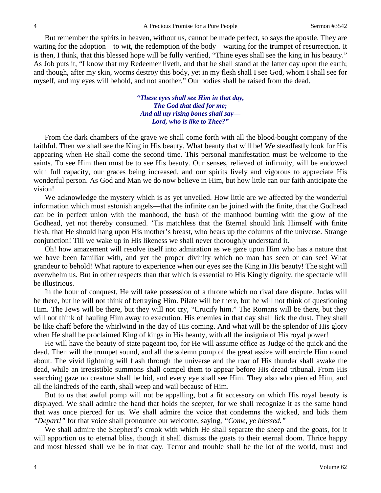But remember the spirits in heaven, without us, cannot be made perfect, so says the apostle. They are waiting for the adoption—to wit, the redemption of the body—waiting for the trumpet of resurrection. It is then, I think, that this blessed hope will be fully verified, "Thine eyes shall see the king in his beauty." As Job puts it, "I know that my Redeemer liveth, and that he shall stand at the latter day upon the earth; and though, after my skin, worms destroy this body, yet in my flesh shall I see God, whom I shall see for myself, and my eyes will behold, and not another." Our bodies shall be raised from the dead.

> *"These eyes shall see Him in that day, The God that died for me; And all my rising bones shall say— Lord, who is like to Thee?"*

From the dark chambers of the grave we shall come forth with all the blood-bought company of the faithful. Then we shall see the King in His beauty. What beauty that will be! We steadfastly look for His appearing when He shall come the second time. This personal manifestation must be welcome to the saints. To see Him then must be to see His beauty. Our senses, relieved of infirmity, will be endowed with full capacity, our graces being increased, and our spirits lively and vigorous to appreciate His wonderful person. As God and Man we do now believe in Him, but how little can our faith anticipate the vision!

We acknowledge the mystery which is as yet unveiled. How little are we affected by the wonderful information which must astonish angels—that the infinite can be joined with the finite, that the Godhead can be in perfect union with the manhood, the bush of the manhood burning with the glow of the Godhead, yet not thereby consumed. 'Tis matchless that the Eternal should link Himself with finite flesh, that He should hang upon His mother's breast, who bears up the columns of the universe. Strange conjunction! Till we wake up in His likeness we shall never thoroughly understand it.

Oh! how amazement will resolve itself into admiration as we gaze upon Him who has a nature that we have been familiar with, and yet the proper divinity which no man has seen or can see! What grandeur to behold! What rapture to experience when our eyes see the King in His beauty! The sight will overwhelm us. But in other respects than that which is essential to His Kingly dignity, the spectacle will be illustrious.

In the hour of conquest, He will take possession of a throne which no rival dare dispute. Judas will be there, but he will not think of betraying Him. Pilate will be there, but he will not think of questioning Him. The Jews will be there, but they will not cry, "Crucify him." The Romans will be there, but they will not think of hauling Him away to execution. His enemies in that day shall lick the dust. They shall be like chaff before the whirlwind in the day of His coming. And what will be the splendor of His glory when He shall be proclaimed King of kings in His beauty, with all the insignia of His royal power!

He will have the beauty of state pageant too, for He will assume office as Judge of the quick and the dead. Then will the trumpet sound, and all the solemn pomp of the great assize will encircle Him round about. The vivid lightning will flash through the universe and the roar of His thunder shall awake the dead, while an irresistible summons shall compel them to appear before His dread tribunal. From His searching gaze no creature shall be hid, and every eye shall see Him. They also who pierced Him, and all the kindreds of the earth, shall weep and wail because of Him.

But to us that awful pomp will not be appalling, but a fit accessory on which His royal beauty is displayed. We shall admire the hand that holds the scepter, for we shall recognize it as the same hand that was once pierced for us. We shall admire the voice that condemns the wicked, and bids them *"Depart!"* for that voice shall pronounce our welcome, saying, *"Come, ye blessed."*

We shall admire the Shepherd's crook with which He shall separate the sheep and the goats, for it will apportion us to eternal bliss, though it shall dismiss the goats to their eternal doom. Thrice happy and most blessed shall we be in that day. Terror and trouble shall be the lot of the world, trust and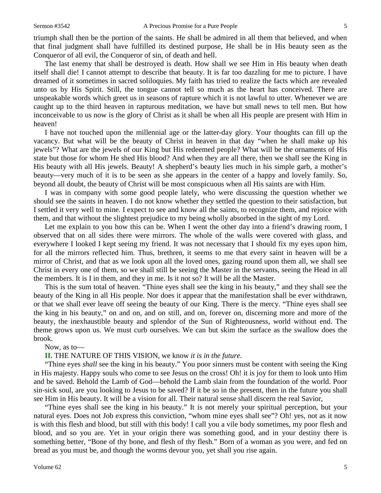triumph shall then be the portion of the saints. He shall be admired in all them that believed, and when that final judgment shall have fulfilled its destined purpose, He shall be in His beauty seen as the Conqueror of all evil, the Conqueror of sin, of death and hell.

The last enemy that shall be destroyed is death. How shall we see Him in His beauty when death itself shall die! I cannot attempt to describe that beauty. It is far too dazzling for me to picture. I have dreamed of it sometimes in sacred soliloquies. My faith has tried to realize the facts which are revealed unto us by His Spirit. Still, the tongue cannot tell so much as the heart has conceived. There are unspeakable words which greet us in seasons of rapture which it is not lawful to utter. Whenever we are caught up to the third heaven in rapturous meditation, we have but small news to tell men. But how inconceivable to us now is the glory of Christ as it shall be when all His people are present with Him in heaven!

I have not touched upon the millennial age or the latter-day glory. Your thoughts can fill up the vacancy. But what will be the beauty of Christ in heaven in that day "when he shall make up his jewels"? What are the jewels of our King but His redeemed people? What will be the ornaments of His state but those for whom He shed His blood? And when they are all there, then we shall see the King in His beauty with all His jewels. Beauty! A shepherd's beauty lies much in his simple garb, a mother's beauty—very much of it is to be seen as she appears in the center of a happy and lovely family. So, beyond all doubt, the beauty of Christ will be most conspicuous when all His saints are with Him.

I was in company with some good people lately, who were discussing the question whether we should see the saints in heaven. I do not know whether they settled the question to their satisfaction, but I settled it very well to mine. I expect to see and know all the saints, to recognize them, and rejoice with them, and that without the slightest prejudice to my being wholly absorbed in the sight of my Lord.

Let me explain to you how this can be. When I went the other day into a friend's drawing room, I observed that on all sides there were mirrors. The whole of the walls were covered with glass, and everywhere I looked I kept seeing my friend. It was not necessary that I should fix my eyes upon him, for all the mirrors reflected him. Thus, brethren, it seems to me that every saint in heaven will be a mirror of Christ, and that as we look upon all the loved ones, gazing round upon them all, we shall see Christ in every one of them, so we shall still be seeing the Master in the servants, seeing the Head in all the members. It is I in them, and they in me. Is it not so? It will be all the Master.

This is the sum total of heaven. "Thine eyes shall see the king in his beauty," and they shall see the beauty of the King in all His people. Nor does it appear that the manifestation shall be ever withdrawn, or that we shall ever leave off seeing the beauty of our King. There is the mercy. "Thine eyes shall see the king in his beauty," on and on, and on still, and on, forever on, discerning more and more of the beauty, the inexhaustible beauty and splendor of the Sun of Righteousness, world without end. The theme grows upon us. We must curb ourselves. We can but skim the surface as the swallow does the brook.

#### Now, as to—

#### **II.** THE NATURE OF THIS VISION, we know *it is in the future*.

"Thine eyes *shall* see the king in his beauty." You poor sinners must be content with seeing the King in His majesty. Happy souls who come to see Jesus on the cross! Oh! it is joy for them to look unto Him and be saved. Behold the Lamb of God—behold the Lamb slain from the foundation of the world. Poor sin-sick soul, are you looking to Jesus to be saved? If it be so in the present, then in the future you shall see Him in His beauty. It will be a vision for all. Their natural sense shall discern the real Savior,

"Thine eyes shall see the king in his beauty." It is not merely your spiritual perception, but your natural eyes. Does not Job express this conviction, "whom mine eyes shall see"? Oh! yes, not as it now is with this flesh and blood, but still with this body! I call you a vile body sometimes, my poor flesh and blood, and so you are. Yet in your origin there was something good, and in your destiny there is something better, "Bone of thy bone, and flesh of thy flesh." Born of a woman as you were, and fed on bread as you must be, and though the worms devour you, yet shall you rise again.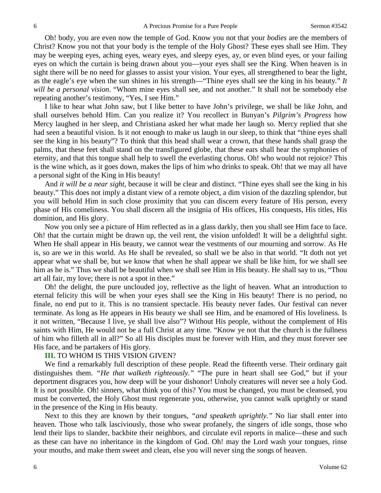Oh! body, you are even now the temple of God. Know you not that your *bodies* are the members of Christ? Know you not that your body is the temple of the Holy Ghost? These eyes shall see Him. They may be weeping eyes, aching eyes, weary eyes, and sleepy eyes, ay, or even blind eyes, or your failing eyes on which the curtain is being drawn about you—your eyes shall see the King. When heaven is in sight there will be no need for glasses to assist your vision. Your eyes, all strengthened to bear the light, as the eagle's eye when the sun shines in his strength—"Thine eyes shall see the king in his beauty." *It will be a personal vision*. "Whom mine eyes shall see, and not another." It shall not be somebody else repeating another's testimony, "Yes, I see Him."

I like to hear what John saw, but I like better to have John's privilege, we shall be like John, and shall ourselves behold Him. Can you realize it? You recollect in Bunyan's *Pilgrim's Progress* how Mercy laughed in her sleep, and Christiana asked her what made her laugh so. Mercy replied that she had seen a beautiful vision. Is it not enough to make us laugh in our sleep, to think that "thine eyes shall see the king in his beauty"? To think that this head shall wear a crown, that these hands shall grasp the palms, that these feet shall stand on the transfigured globe, that these ears shall hear the symphonies of eternity, and that this tongue shall help to swell the everlasting chorus. Oh! who would not rejoice? This is the wine which, as it goes down, makes the lips of him who drinks to speak. Oh! that we may all have a personal sight of the King in His beauty!

And *it will be a near sight,* because it will be clear and distinct. "Thine eyes shall see the king in his beauty." This does not imply a distant view of a remote object, a dim vision of the dazzling splendor, but you will behold Him in such close proximity that you can discern every feature of His person, every phase of His comeliness. You shall discern all the insignia of His offices, His conquests, His titles, His dominion, and His glory.

Now you only see a picture of Him reflected as in a glass darkly, then you shall see Him face to face. Oh! that the curtain might be drawn up, the veil rent, the vision unfolded! It will be a delightful sight. When He shall appear in His beauty, we cannot wear the vestments of our mourning and sorrow. As He is, so are we in this world. As He shall be revealed, so shall we be also in that world. "It doth not yet appear what we shall be, but we know that when he shall appear we shall be like him, for we shall see him as he is." Thus we shall be beautiful when we shall see Him in His beauty. He shall say to us, "Thou art all fair, my love; there is not a spot in thee."

Oh! the delight, the pure unclouded joy, reflective as the light of heaven. What an introduction to eternal felicity this will be when your eyes shall see the King in His beauty! There is no period, no finale, no end put to it. This is no transient spectacle. His beauty never fades. Our festival can never terminate. As long as He appears in His beauty we shall see Him, and be enamored of His loveliness. Is it not written, "Because I live, ye shall live also"? Without His people, without the complement of His saints with Him, He would not be a full Christ at any time. "Know ye not that the church is the fullness of him who filleth all in all?" So all His disciples must be forever with Him, and they must forever see His face, and be partakers of His glory.

#### **III.** TO WHOM IS THIS VISION GIVEN?

We find a remarkably full description of these people. Read the fifteenth verse. Their ordinary gait distinguishes them. *"He that walketh righteously."* "The pure in heart shall see God," but if your deportment disgraces you, how deep will be your dishonor! Unholy creatures will never see a holy God. It is not possible. Oh! sinners, what think you of this? You must be changed, you must be cleansed, you must be converted, the Holy Ghost must regenerate you, otherwise, you cannot walk uprightly or stand in the presence of the King in His beauty.

Next to this they are known by their tongues, *"and speaketh uprightly."* No liar shall enter into heaven. Those who talk lasciviously, those who swear profanely, the singers of idle songs, those who lend their lips to slander, backbite their neighbors, and circulate evil reports in malice—these and such as these can have no inheritance in the kingdom of God. Oh! may the Lord wash your tongues, rinse your mouths, and make them sweet and clean, else you will never sing the songs of heaven.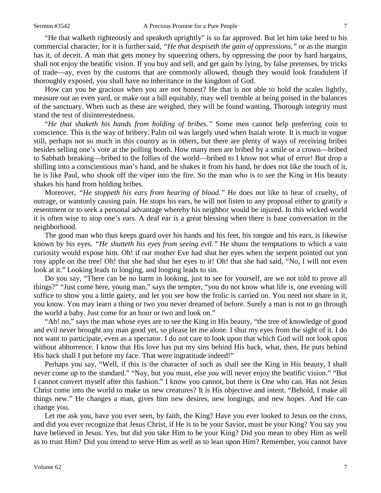"He that walketh righteously and speaketh uprightly" is so far approved. But let him take heed to his commercial character, for it is further said, *"He that despiseth the gain of oppressions,"* or as the margin has it, of deceit. A man that gets money by squeezing others, by oppressing the poor by hard bargains, shall not enjoy the beatific vision. If you buy and sell, and get gain by lying, by false pretenses, by tricks of trade—ay, even by the customs that are commonly allowed, though they would look fraudulent if thoroughly exposed, you shall have no inheritance in the kingdom of God.

How can you be gracious when you are not honest? He that is not able to hold the scales lightly, measure out an even yard, or make out a bill equitably, may well tremble at being poised in the balances of the sanctuary. When such as these are weighed, they will be found wanting. Thorough integrity must stand the test of disinterestedness.

"*He that shaketh his hands from holding of bribes."* Some men cannot help preferring coin to conscience. This is the way of bribery. Palm oil was largely used when Isaiah wrote. It is much in vogue still, perhaps not so much in this country as in others, but there are plenty of ways of receiving bribes besides selling one's vote at the polling booth. How many men are bribed by a smile or a crown—bribed to Sabbath breaking—bribed to the follies of the world—bribed to I know not what of error! But drop a shilling into a conscientious man's hand, and he shakes it from his hand, he does not like the touch of it, he is like Paul, who shook off the viper into the fire. So the man who is to see the King in His beauty shakes his hand from holding bribes.

Moreover, *"He stoppeth his ears from hearing of blood."* He does not like to hear of cruelty, of outrage, or wantonly causing pain. He stops his ears, he will not listen to any proposal either to gratify a resentment or to seek a personal advantage whereby his neighbor would be injured. In this wicked world it is often wise to stop one's ears. A deaf ear is a great blessing when there is base conversation in the neighborhood.

The good man who thus keeps guard over his hands and his feet, his tongue and his ears, is likewise known by his eyes. *"He shutteth his eyes from seeing evil."* He shuns the temptations to which a vain curiosity would expose him. Oh! if our mother Eve had shut her eyes when the serpent pointed out yon rosy apple on the tree! Oh! that she had shut her eyes to it! Oh! that she had said, "No, I will not even look at it." Looking leads to longing, and longing leads to sin.

Do you say, "There can be no harm in looking, just to see for yourself, are we not told to prove all things?" "Just come here, young man," says the tempter, "you do not know what life is, one evening will suffice to show you a little gaiety, and let you see how the frolic is carried on. You need not share in it, you know. You may learn a thing or two you never dreamed of before. Surely a man is not to go through the world a baby. Just come for an hour or two and look on."

"Ah! no," says the man whose eyes are to see the King in His beauty, "the tree of knowledge of good and evil never brought any man good yet, so please let me alone. I shut my eyes from the sight of it. I do not want to participate, even as a spectator. I do not care to look upon that which God will not look upon without abhorrence. I know that His love has put my sins behind His back, what, then, He puts behind His back shall I put before my face. That were ingratitude indeed!"

Perhaps you say, "Well, if this is the character of such as shall see the King in His beauty, I shall never come up to the standard." "Nay, but you must, else *you* will never enjoy the beatific vision." "But I cannot convert myself after this fashion." I know you cannot, but there is One who can. Has not Jesus Christ come into the world to make us new creatures? It is His objective and intent. "Behold, I make all things new." He changes a man, gives him new desires, new longings, and new hopes. And He can change you.

Let me ask you, have you ever seen, by faith, the King? Have you ever looked to Jesus on the cross, and did you ever recognize that Jesus Christ, if He is to be your Savior, must be your King? You say you have believed in Jesus. Yes, but did you take Him to be your King? Did you mean to obey Him as well as to trust Him? Did you intend to serve Him as well as to lean upon Him? Remember, you cannot have